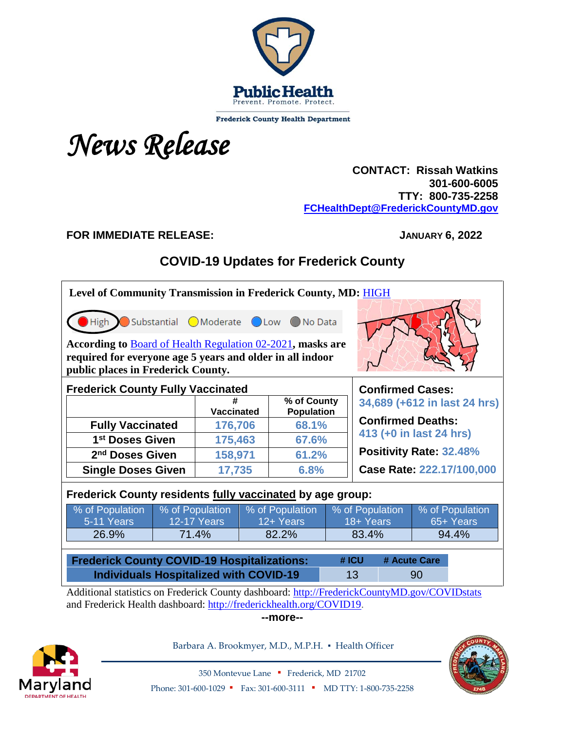

**Frederick County Health Department** 

# *News Release*

## **CONTACT: Rissah Watkins 301-600-6005 TTY: 800-735-2258 [FCHealthDept@FrederickCountyMD.gov](mailto:FCHealthDept@FrederickCountyMD.gov)**

## **FOR IMMEDIATE RELEASE: JANUARY 6, 2022**

# **COVID-19 Updates for Frederick County**

| Level of Community Transmission in Frederick County, MD: HIGH<br>Substantial OModerate OLow ONo Data<br><b>High</b><br>According to Board of Health Regulation 02-2021, masks are<br>required for everyone age 5 years and older in all indoor |                                           |                                  |                 |                            |                              |                           |  |                 |           |
|------------------------------------------------------------------------------------------------------------------------------------------------------------------------------------------------------------------------------------------------|-------------------------------------------|----------------------------------|-----------------|----------------------------|------------------------------|---------------------------|--|-----------------|-----------|
| public places in Frederick County.<br><b>Frederick County Fully Vaccinated</b><br><b>Confirmed Cases:</b>                                                                                                                                      |                                           |                                  |                 |                            |                              |                           |  |                 |           |
|                                                                                                                                                                                                                                                |                                           | % of County<br><b>Vaccinated</b> |                 |                            | 34,689 (+612 in last 24 hrs) |                           |  |                 |           |
| <b>Fully Vaccinated</b>                                                                                                                                                                                                                        |                                           | 176,706                          |                 | <b>Population</b><br>68.1% |                              | <b>Confirmed Deaths:</b>  |  |                 |           |
| 1 <sup>st</sup> Doses Given                                                                                                                                                                                                                    |                                           | 175,463                          |                 | 67.6%                      |                              | 413 (+0 in last 24 hrs)   |  |                 |           |
| 2 <sup>nd</sup> Doses Given                                                                                                                                                                                                                    |                                           | 158,971                          |                 | 61.2%                      |                              | Positivity Rate: 32.48%   |  |                 |           |
|                                                                                                                                                                                                                                                | <b>Single Doses Given</b>                 |                                  | 17,735          | 6.8%                       |                              | Case Rate: 222.17/100,000 |  |                 |           |
| Frederick County residents fully vaccinated by age group:                                                                                                                                                                                      |                                           |                                  |                 |                            |                              |                           |  |                 |           |
| % of Population                                                                                                                                                                                                                                | % of Population                           |                                  | % of Population |                            | % of Population              |                           |  | % of Population |           |
| 5-11 Years                                                                                                                                                                                                                                     |                                           | <b>12-17 Years</b>               |                 | 12+ Years                  |                              | 18+ Years                 |  |                 | 65+ Years |
|                                                                                                                                                                                                                                                | 26.9%<br>71.4%<br>82.2%<br>83.4%<br>94.4% |                                  |                 |                            |                              |                           |  |                 |           |
| <b>Frederick County COVID-19 Hospitalizations:</b><br>#ICU<br># Acute Care                                                                                                                                                                     |                                           |                                  |                 |                            |                              |                           |  |                 |           |
| <b>Individuals Hospitalized with COVID-19</b>                                                                                                                                                                                                  |                                           |                                  |                 |                            |                              | 13                        |  | 90              |           |
| Additional statistics on Frederick County dashboard: http://FrederickCountyMD.gov/COVIDstats<br>and Frederick Health dashboard: http://frederickhealth.org/COVID19.                                                                            |                                           |                                  |                 |                            |                              |                           |  |                 |           |

**--more--**



Barbara A. Brookmyer, M.D., M.P.H. · Health Officer



350 Montevue Lane ▪ Frederick, MD 21702 Phone: 301-600-1029 • Fax: 301-600-3111 • MD TTY: 1-800-735-2258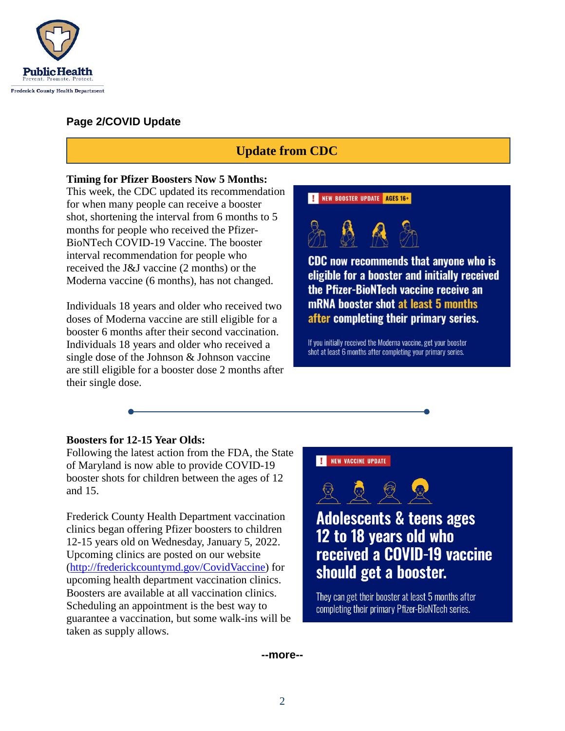

## **Page 2/COVID Update**

# **Update from CDC**

#### **Timing for Pfizer Boosters Now 5 Months:**

This week, the CDC updated its recommendation for when many people can receive a booster shot, shortening the interval from 6 months to 5 months for people who received the Pfizer-BioNTech COVID-19 Vaccine. The booster interval recommendation for people who received the J&J vaccine (2 months) or the Moderna vaccine (6 months), has not changed.

Individuals 18 years and older who received two doses of Moderna vaccine are still eligible for a booster 6 months after their second vaccination. Individuals 18 years and older who received a single dose of the Johnson & Johnson vaccine are still eligible for a booster dose 2 months after their single dose.

#### **I** NEW BOOSTER UPDATE AGES 16+



**CDC** now recommends that anyone who is eligible for a booster and initially received the Pfizer-BioNTech vaccine receive an mRNA booster shot at least 5 months after completing their primary series.

If you initially received the Moderna vaccine, get your booster shot at least 6 months after completing your primary series.

#### **Boosters for 12-15 Year Olds:**

Following the latest action from the FDA, the State of Maryland is now able to provide COVID-19 booster shots for children between the ages of 12 and 15.

Frederick County Health Department vaccination clinics began offering Pfizer boosters to children 12-15 years old on Wednesday, January 5, 2022. Upcoming clinics are posted on our website [\(http://frederickcountymd.gov/CovidVaccine\)](http://frederickcountymd.gov/CovidVaccine?fbclid=IwAR0I1fFU_JZKPIl7AiZ6sg7ioFjXNVNntDBzgtDv6bMrViyCFKwALENSIYA) for upcoming health department vaccination clinics. Boosters are available at all vaccination clinics. Scheduling an appointment is the best way to guarantee a vaccination, but some walk-ins will be taken as supply allows.



**Adolescents & teens ages** 12 to 18 years old who received a COVID-19 vaccine should get a booster.

They can get their booster at least 5 months after completing their primary Pfizer-BioNTech series.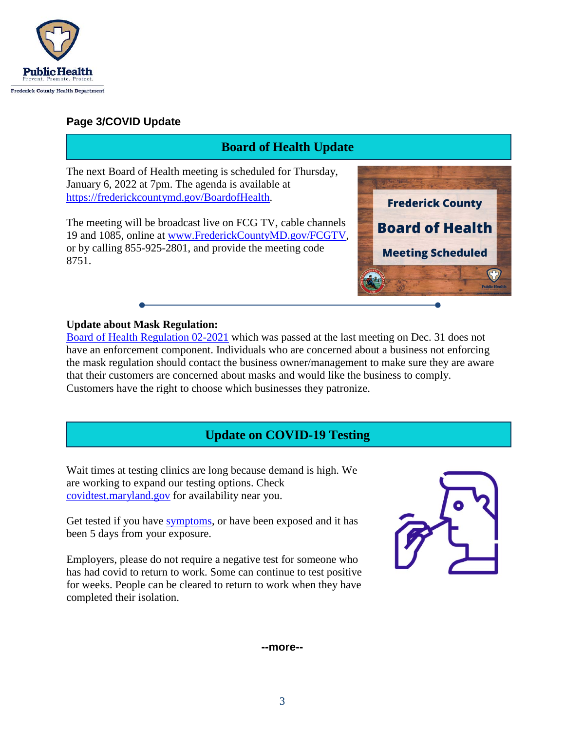

8751.

## **Page 3/COVID Update**

# **Board of Health Update**The next Board of Health meeting is scheduled for Thursday, January 6, 2022 at 7pm. The agenda is available at [https://frederickcountymd.gov/BoardofHealth.](https://frederickcountymd.gov/BoardofHealth) **Frederick County** The meeting will be broadcast live on FCG TV, cable channels **Board of Health** 19 and 1085, online at [www.FrederickCountyMD.gov/FCGTV,](http://www.frederickcountymd.gov/FCGTV) or by calling 855-925-2801, and provide the meeting code **Meeting Scheduled**

### **Update about Mask Regulation:**

[Board of Health Regulation 02-2021](https://health.frederickcountymd.gov/DocumentCenter/View/7329/Board-of-Health-Regulation-02-2021-Face-Covering-FINAL) which was passed at the last meeting on Dec. 31 does not have an enforcement component. Individuals who are concerned about a business not enforcing the mask regulation should contact the business owner/management to make sure they are aware that their customers are concerned about masks and would like the business to comply. Customers have the right to choose which businesses they patronize.

# **Update on COVID-19 Testing**

Wait times at testing clinics are long because demand is high. We are working to expand our testing options. Check [covidtest.maryland.gov](http://covidtest.maryland.gov/) for availability near you.

Get tested if you have [symptoms,](https://www.cdc.gov/coronavirus/2019-ncov/symptoms-testing/symptoms.html) or have been exposed and it has been 5 days from your exposure.

Employers, please do not require a negative test for someone who has had covid to return to work. Some can continue to test positive for weeks. People can be cleared to return to work when they have completed their isolation.

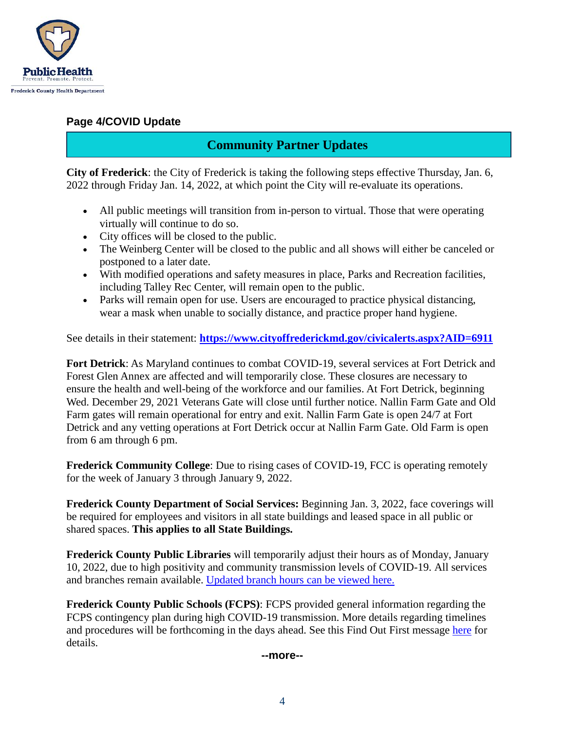

## **Page 4/COVID Update**

## **Community Partner Updates**

**City of Frederick**: the City of Frederick is taking the following steps effective Thursday, Jan. 6, 2022 through Friday Jan. 14, 2022, at which point the City will re-evaluate its operations.

- All public meetings will transition from in-person to virtual. Those that were operating virtually will continue to do so.
- City offices will be closed to the public.
- The Weinberg Center will be closed to the public and all shows will either be canceled or postponed to a later date.
- With modified operations and safety measures in place, Parks and Recreation facilities, including Talley Rec Center, will remain open to the public.
- Parks will remain open for use. Users are encouraged to practice physical distancing, wear a mask when unable to socially distance, and practice proper hand hygiene.

See details in their statement: **<https://www.cityoffrederickmd.gov/civicalerts.aspx?AID=6911>**

**Fort Detrick**: As Maryland continues to combat COVID-19, several services at Fort Detrick and Forest Glen Annex are affected and will temporarily close. These closures are necessary to ensure the health and well-being of the workforce and our families. At Fort Detrick, beginning Wed. December 29, 2021 Veterans Gate will close until further notice. Nallin Farm Gate and Old Farm gates will remain operational for entry and exit. Nallin Farm Gate is open 24/7 at Fort Detrick and any vetting operations at Fort Detrick occur at Nallin Farm Gate. Old Farm is open from 6 am through 6 pm.

**Frederick Community College**: Due to rising cases of COVID-19, FCC is operating remotely for the week of January 3 through January 9, 2022.

**Frederick County Department of Social Services:** Beginning Jan. 3, 2022, face coverings will be required for employees and visitors in all state buildings and leased space in all public or shared spaces. **This applies to all State Buildings.**

**Frederick County Public Libraries** will temporarily adjust their hours as of Monday, January 10, 2022, due to high positivity and community transmission levels of COVID-19. All services and branches remain available. [Updated branch hours can be viewed here.](https://www.fcpl.org/current-operating-status) 

**Frederick County Public Schools (FCPS)**: FCPS provided general information regarding the FCPS contingency plan during high COVID-19 transmission. More details regarding timelines and procedures will be forthcoming in the days ahead. See this Find Out First message [here](https://fcps.ezcommunicator.net/edu/frederick/preview_message.aspx?app=0&id=108534&type=notice&source=ViewNews) for details.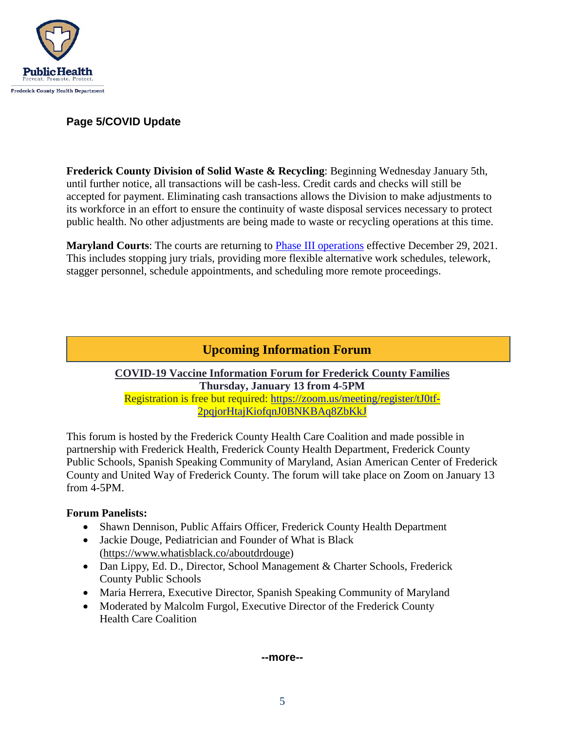

## **Page 5/COVID Update**

**Frederick County Division of Solid Waste & Recycling**: Beginning Wednesday January 5th, until further notice, all transactions will be cash-less. Credit cards and checks will still be accepted for payment. Eliminating cash transactions allows the Division to make adjustments to its workforce in an effort to ensure the continuity of waste disposal services necessary to protect public health. No other adjustments are being made to waste or recycling operations at this time.

**Maryland Courts**: The courts are returning to [Phase III operations](https://mdcourts.gov/media/news/2021/pr20211227) effective December 29, 2021. This includes stopping jury trials, providing more flexible alternative work schedules, telework, stagger personnel, schedule appointments, and scheduling more remote proceedings.

# **Upcoming Information Forum**

#### **COVID-19 Vaccine Information Forum for Frederick County Families Thursday, January 13 from 4-5PM** Registration is free but required: [https://zoom.us/meeting/register/tJ0tf-](https://zoom.us/meeting/register/tJ0tf-2pqjorHtajKiofqnJ0BNKBAq8ZbKkJ)[2pqjorHtajKiofqnJ0BNKBAq8ZbKkJ](https://zoom.us/meeting/register/tJ0tf-2pqjorHtajKiofqnJ0BNKBAq8ZbKkJ)

This forum is hosted by the Frederick County Health Care Coalition and made possible in partnership with Frederick Health, Frederick County Health Department, Frederick County Public Schools, Spanish Speaking Community of Maryland, Asian American Center of Frederick County and United Way of Frederick County. The forum will take place on Zoom on January 13 from 4-5PM.

## **Forum Panelists:**

- Shawn Dennison, Public Affairs Officer, Frederick County Health Department
- Jackie Douge, Pediatrician and Founder of What is Black [\(https://www.whatisblack.co/aboutdrdouge\)](https://urldefense.com/v3/__https:/www.whatisblack.co/aboutdrdouge__;!!I2-OFBIJoQBJqqeup9g!Qa9kYYo31S1byrjwtE2gl28gDe8fTaxlI0f6o_pVHnjYg23JjAYAYiwy8aPd1k0Rx5jvIlADFxU$)
- Dan Lippy, Ed. D., Director, School Management & Charter Schools, Frederick County Public Schools
- Maria Herrera, Executive Director, Spanish Speaking Community of Maryland
- Moderated by Malcolm Furgol, Executive Director of the Frederick County Health Care Coalition